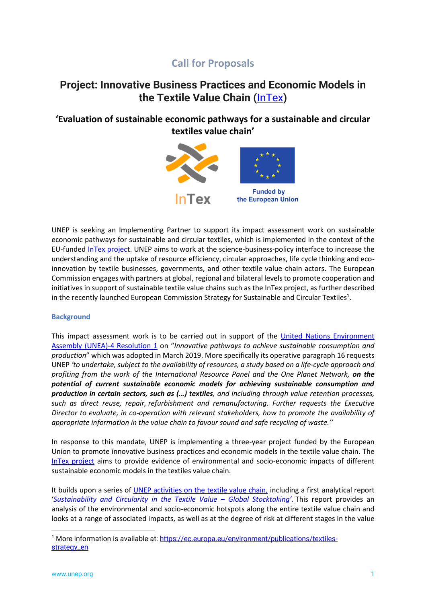# **Call for Proposals**

# **Project: Innovative Business Practices and Economic Models in the Textile Value Chain (**[InTex](http://www.unep.org/intex)**)**

# **'Evaluation of sustainable economic pathways for a sustainable and circular textiles value chain'**



UNEP is seeking an Implementing Partner to support its impact assessment work on sustainable economic pathways for sustainable and circular textiles, which is implemented in the context of the EU-funded [InTex project](http://www.unep.org/intex). UNEP aims to work at the science-business-policy interface to increase the understanding and the uptake of resource efficiency, circular approaches, life cycle thinking and ecoinnovation by textile businesses, governments, and other textile value chain actors. The European Commission engages with partners at global, regional and bilateral levels to promote cooperation and initiatives in support of sustainable textile value chains such as the InTex project, as further described in the recently launched European Commission Strategy for Sustainable and Circular Textiles<sup>1</sup>.

# **Background**

This impact assessment work is to be carried out in support of the [United Nations Environment](https://wedocs.unep.org/bitstream/handle/20.500.11822/28517/English.pdf?sequence=3&isAllowed=y)  [Assembly \(UNEA\)-4 Resolution 1](https://wedocs.unep.org/bitstream/handle/20.500.11822/28517/English.pdf?sequence=3&isAllowed=y) on "*Innovative pathways to achieve sustainable consumption and production*" which was adopted in March 2019. More specifically its operative paragraph 16 requests UNEP *'to undertake, subject to the availability of resources, a study based on a life-cycle approach and profiting from the work of the International Resource Panel and the One Planet Network, on the potential of current sustainable economic models for achieving sustainable consumption and production in certain sectors, such as (…) textiles, and including through value retention processes, such as direct reuse, repair, refurbishment and remanufacturing. Further requests the Executive Director to evaluate, in co-operation with relevant stakeholders, how to promote the availability of appropriate information in the value chain to favour sound and safe recycling of waste.''*

In response to this mandate, UNEP is implementing a three-year project funded by the European Union to promote innovative business practices and economic models in the textile value chain. The [InTex project](https://www.unep.org/intex) aims to provide evidence of environmental and socio-economic impacts of different sustainable economic models in the textiles value chain.

It builds upon a series of [UNEP activities on the textile value chain,](https://www.oneplanetnetwork.org/value-chains/textiles) including a first analytical report '*[Sustainability and Circularity in the Textile Value](https://www.oneplanetnetwork.org/sites/default/files/sustainability_and_circularity_in_the_textile_value_chain_-_22_october_2020.pdf) – Global Stocktaking'.* This report provides an analysis of the environmental and socio-economic hotspots along the entire textile value chain and looks at a range of associated impacts, as well as at the degree of risk at different stages in the value

<sup>&</sup>lt;sup>1</sup> More information is available at: [https://ec.europa.eu/environment/publications/textiles](https://ec.europa.eu/environment/publications/textiles-strategy_en)[strategy\\_en](https://ec.europa.eu/environment/publications/textiles-strategy_en)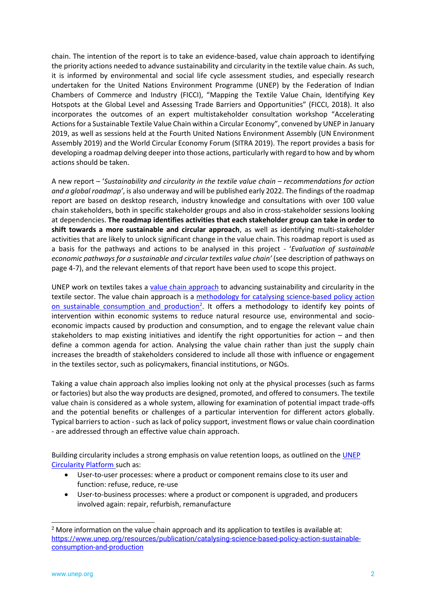chain. The intention of the report is to take an evidence-based, value chain approach to identifying the priority actions needed to advance sustainability and circularity in the textile value chain. As such, it is informed by environmental and social life cycle assessment studies, and especially research undertaken for the United Nations Environment Programme (UNEP) by the Federation of Indian Chambers of Commerce and Industry (FICCI), "Mapping the Textile Value Chain, Identifying Key Hotspots at the Global Level and Assessing Trade Barriers and Opportunities" (FICCI, 2018). It also incorporates the outcomes of an expert multistakeholder consultation workshop "Accelerating Actions for a Sustainable Textile Value Chain within a Circular Economy", convened by UNEP in January 2019, as well as sessions held at the Fourth United Nations Environment Assembly (UN Environment Assembly 2019) and the World Circular Economy Forum (SITRA 2019). The report provides a basis for developing a roadmap delving deeper into those actions, particularly with regard to how and by whom actions should be taken.

A new report – '*Sustainability and circularity in the textile value chain – recommendations for action and a global roadmap'*, is also underway and will be published early 2022. The findings of the roadmap report are based on desktop research, industry knowledge and consultations with over 100 value chain stakeholders, both in specific stakeholder groups and also in cross-stakeholder sessions looking at dependencies. **The roadmap identifies activities that each stakeholder group can take in order to shift towards a more sustainable and circular approach**, as well as identifying multi-stakeholder activities that are likely to unlock significant change in the value chain. This roadmap report is used as a basis for the pathways and actions to be analysed in this project - '*Evaluation of sustainable economic pathways for a sustainable and circular textiles value chain'* (see description of pathways on page 4-7), and the relevant elements of that report have been used to scope this project.

UNEP work on textiles takes a [value chain approach](https://www.oneplanetnetwork.org/sites/default/files/vc_approach_description.pdf) to advancing sustainability and circularity in the textile sector. The value chain approach is a [methodology for catalysing science-based policy action](https://www.unep.org/resources/publication/catalysing-science-based-policy-action-sustainable-consumption-and-production)  [on sustainable consumption and production](https://www.unep.org/resources/publication/catalysing-science-based-policy-action-sustainable-consumption-and-production)<sup>2</sup>. It offers a methodology to identify key points of intervention within economic systems to reduce natural resource use, environmental and socioeconomic impacts caused by production and consumption, and to engage the relevant value chain stakeholders to map existing initiatives and identify the right opportunities for action – and then define a common agenda for action. Analysing the value chain rather than just the supply chain increases the breadth of stakeholders considered to include all those with influence or engagement in the textiles sector, such as policymakers, financial institutions, or NGOs.

Taking a value chain approach also implies looking not only at the physical processes (such as farms or factories) but also the way products are designed, promoted, and offered to consumers. The textile value chain is considered as a whole system, allowing for examination of potential impact trade-offs and the potential benefits or challenges of a particular intervention for different actors globally. Typical barriers to action - such as lack of policy support, investment flows or value chain coordination - are addressed through an effective value chain approach.

Building circularity includes a strong emphasis on value retention loops, as outlined on the [UNEP](http://www.unep.org/circularity)  [Circularity Platform](http://www.unep.org/circularity) such as:

- User-to-user processes: where a product or component remains close to its user and function: refuse, reduce, re-use
- User-to-business processes: where a product or component is upgraded, and producers involved again: repair, refurbish, remanufacture

<sup>&</sup>lt;sup>2</sup> More information on the value chain approach and its application to textiles is available at: [https://www.unep.org/resources/publication/catalysing-science-based-policy-action-sustainable](https://www.unep.org/resources/publication/catalysing-science-based-policy-action-sustainable-consumption-and-production)[consumption-and-production](https://www.unep.org/resources/publication/catalysing-science-based-policy-action-sustainable-consumption-and-production)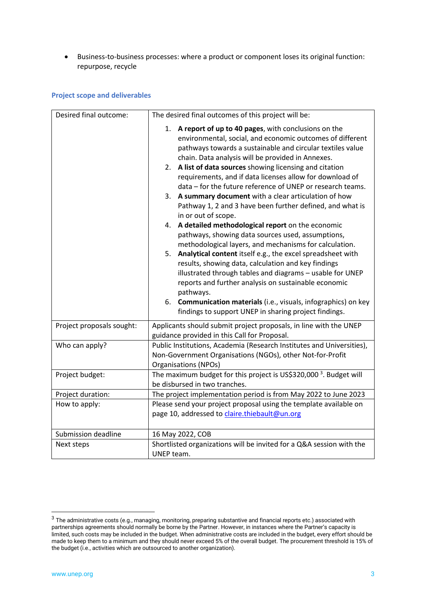• Business-to-business processes: where a product or component loses its original function: repurpose, recycle

# **Project scope and deliverables**

| Desired final outcome:    | The desired final outcomes of this project will be:                                                                                                                                                                                                                                                                                                                                                                                                                                                                                                                                                                                                                                                                                                                                                                                                                                                                                                                                                                                                                                                                                    |
|---------------------------|----------------------------------------------------------------------------------------------------------------------------------------------------------------------------------------------------------------------------------------------------------------------------------------------------------------------------------------------------------------------------------------------------------------------------------------------------------------------------------------------------------------------------------------------------------------------------------------------------------------------------------------------------------------------------------------------------------------------------------------------------------------------------------------------------------------------------------------------------------------------------------------------------------------------------------------------------------------------------------------------------------------------------------------------------------------------------------------------------------------------------------------|
|                           | 1. A report of up to 40 pages, with conclusions on the<br>environmental, social, and economic outcomes of different<br>pathways towards a sustainable and circular textiles value<br>chain. Data analysis will be provided in Annexes.<br>2. A list of data sources showing licensing and citation<br>requirements, and if data licenses allow for download of<br>data - for the future reference of UNEP or research teams.<br>3. A summary document with a clear articulation of how<br>Pathway 1, 2 and 3 have been further defined, and what is<br>in or out of scope.<br>4. A detailed methodological report on the economic<br>pathways, showing data sources used, assumptions,<br>methodological layers, and mechanisms for calculation.<br>5. Analytical content itself e.g., the excel spreadsheet with<br>results, showing data, calculation and key findings<br>illustrated through tables and diagrams - usable for UNEP<br>reports and further analysis on sustainable economic<br>pathways.<br>6. Communication materials (i.e., visuals, infographics) on key<br>findings to support UNEP in sharing project findings. |
| Project proposals sought: | Applicants should submit project proposals, in line with the UNEP                                                                                                                                                                                                                                                                                                                                                                                                                                                                                                                                                                                                                                                                                                                                                                                                                                                                                                                                                                                                                                                                      |
|                           | guidance provided in this Call for Proposal.                                                                                                                                                                                                                                                                                                                                                                                                                                                                                                                                                                                                                                                                                                                                                                                                                                                                                                                                                                                                                                                                                           |
| Who can apply?            | Public Institutions, Academia (Research Institutes and Universities),<br>Non-Government Organisations (NGOs), other Not-for-Profit<br>Organisations (NPOs)                                                                                                                                                                                                                                                                                                                                                                                                                                                                                                                                                                                                                                                                                                                                                                                                                                                                                                                                                                             |
| Project budget:           | The maximum budget for this project is US\$320,000 <sup>3</sup> . Budget will<br>be disbursed in two tranches.                                                                                                                                                                                                                                                                                                                                                                                                                                                                                                                                                                                                                                                                                                                                                                                                                                                                                                                                                                                                                         |
| Project duration:         | The project implementation period is from May 2022 to June 2023                                                                                                                                                                                                                                                                                                                                                                                                                                                                                                                                                                                                                                                                                                                                                                                                                                                                                                                                                                                                                                                                        |
| How to apply:             | Please send your project proposal using the template available on<br>page 10, addressed to claire.thiebault@un.org                                                                                                                                                                                                                                                                                                                                                                                                                                                                                                                                                                                                                                                                                                                                                                                                                                                                                                                                                                                                                     |
| Submission deadline       | 16 May 2022, COB                                                                                                                                                                                                                                                                                                                                                                                                                                                                                                                                                                                                                                                                                                                                                                                                                                                                                                                                                                                                                                                                                                                       |
| Next steps                | Shortlisted organizations will be invited for a Q&A session with the<br>UNEP team.                                                                                                                                                                                                                                                                                                                                                                                                                                                                                                                                                                                                                                                                                                                                                                                                                                                                                                                                                                                                                                                     |

 $3$  The administrative costs (e.g., managing, monitoring, preparing substantive and financial reports etc.) associated with partnerships agreements should normally be borne by the Partner. However, in instances where the Partner's capacity is limited, such costs may be included in the budget. When administrative costs are included in the budget, every effort should be made to keep them to a minimum and they should never exceed 5% of the overall budget. The procurement threshold is 15% of the budget (i.e., activities which are outsourced to another organization).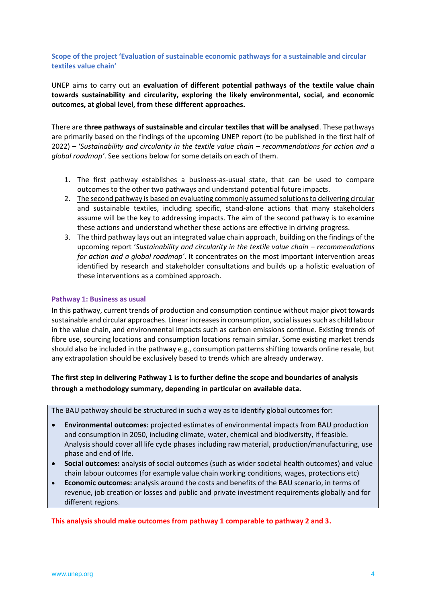# **Scope of the project 'Evaluation of sustainable economic pathways for a sustainable and circular textiles value chain'**

UNEP aims to carry out an **evaluation of different potential pathways of the textile value chain towards sustainability and circularity, exploring the likely environmental, social, and economic outcomes, at global level, from these different approaches.**

There are **three pathways of sustainable and circular textiles that will be analysed**. These pathways are primarily based on the findings of the upcoming UNEP report (to be published in the first half of 2022) – '*Sustainability and circularity in the textile value chain – recommendations for action and a global roadmap'*. See sections below for some details on each of them.

- 1. The first pathway establishes a business-as-usual state, that can be used to compare outcomes to the other two pathways and understand potential future impacts.
- 2. The second pathway is based on evaluating commonly assumed solutions to delivering circular and sustainable textiles, including specific, stand-alone actions that many stakeholders assume will be the key to addressing impacts. The aim of the second pathway is to examine these actions and understand whether these actions are effective in driving progress.
- 3. The third pathway lays out an integrated value chain approach, building on the findings of the upcoming report '*Sustainability and circularity in the textile value chain – recommendations for action and a global roadmap'*. It concentrates on the most important intervention areas identified by research and stakeholder consultations and builds up a holistic evaluation of these interventions as a combined approach.

# **Pathway 1: Business as usual**

In this pathway, current trends of production and consumption continue without major pivot towards sustainable and circular approaches. Linear increases in consumption, social issues such as child labour in the value chain, and environmental impacts such as carbon emissions continue. Existing trends of fibre use, sourcing locations and consumption locations remain similar. Some existing market trends should also be included in the pathway e.g., consumption patterns shifting towards online resale, but any extrapolation should be exclusively based to trends which are already underway.

# **The first step in delivering Pathway 1 is to further define the scope and boundaries of analysis through a methodology summary, depending in particular on available data.**

The BAU pathway should be structured in such a way as to identify global outcomes for:

- **Environmental outcomes:** projected estimates of environmental impacts from BAU production and consumption in 2050, including climate, water, chemical and biodiversity, if feasible. Analysis should cover all life cycle phases including raw material, production/manufacturing, use phase and end of life.
- **Social outcomes:** analysis of social outcomes (such as wider societal health outcomes) and value chain labour outcomes (for example value chain working conditions, wages, protections etc)
- **Economic outcomes:** analysis around the costs and benefits of the BAU scenario, in terms of revenue, job creation or losses and public and private investment requirements globally and for different regions.

**This analysis should make outcomes from pathway 1 comparable to pathway 2 and 3.**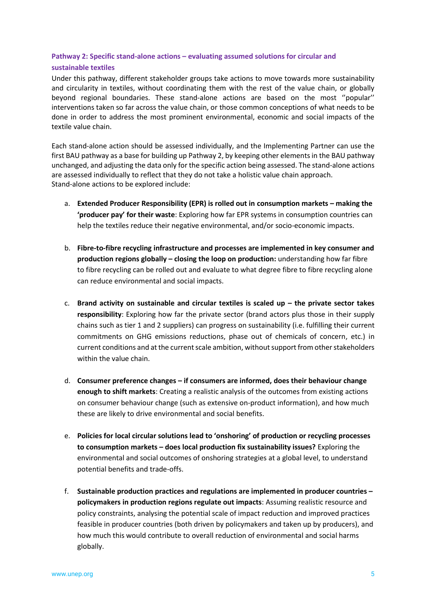# **Pathway 2: Specific stand-alone actions – evaluating assumed solutions for circular and**

# **sustainable textiles**

Under this pathway, different stakeholder groups take actions to move towards more sustainability and circularity in textiles, without coordinating them with the rest of the value chain, or globally beyond regional boundaries. These stand-alone actions are based on the most ''popular'' interventions taken so far across the value chain, or those common conceptions of what needs to be done in order to address the most prominent environmental, economic and social impacts of the textile value chain.

Each stand-alone action should be assessed individually, and the Implementing Partner can use the first BAU pathway as a base for building up Pathway 2, by keeping other elements in the BAU pathway unchanged, and adjusting the data only for the specific action being assessed. The stand-alone actions are assessed individually to reflect that they do not take a holistic value chain approach. Stand-alone actions to be explored include:

- a. **Extended Producer Responsibility (EPR) is rolled out in consumption markets – making the 'producer pay' for their waste**: Exploring how far EPR systems in consumption countries can help the textiles reduce their negative environmental, and/or socio-economic impacts.
- b. **Fibre-to-fibre recycling infrastructure and processes are implemented in key consumer and production regions globally – closing the loop on production:** understanding how far fibre to fibre recycling can be rolled out and evaluate to what degree fibre to fibre recycling alone can reduce environmental and social impacts.
- c. **Brand activity on sustainable and circular textiles is scaled up – the private sector takes responsibility**: Exploring how far the private sector (brand actors plus those in their supply chains such as tier 1 and 2 suppliers) can progress on sustainability (i.e. fulfilling their current commitments on GHG emissions reductions, phase out of chemicals of concern, etc.) in current conditions and at the current scale ambition, without support from other stakeholders within the value chain.
- d. **Consumer preference changes – if consumers are informed, does their behaviour change enough to shift markets**: Creating a realistic analysis of the outcomes from existing actions on consumer behaviour change (such as extensive on-product information), and how much these are likely to drive environmental and social benefits.
- e. **Policies for local circular solutions lead to 'onshoring' of production or recycling processes to consumption markets – does local production fix sustainability issues?** Exploring the environmental and social outcomes of onshoring strategies at a global level, to understand potential benefits and trade-offs.
- f. **Sustainable production practices and regulations are implemented in producer countries – policymakers in production regions regulate out impacts**: Assuming realistic resource and policy constraints, analysing the potential scale of impact reduction and improved practices feasible in producer countries (both driven by policymakers and taken up by producers), and how much this would contribute to overall reduction of environmental and social harms globally.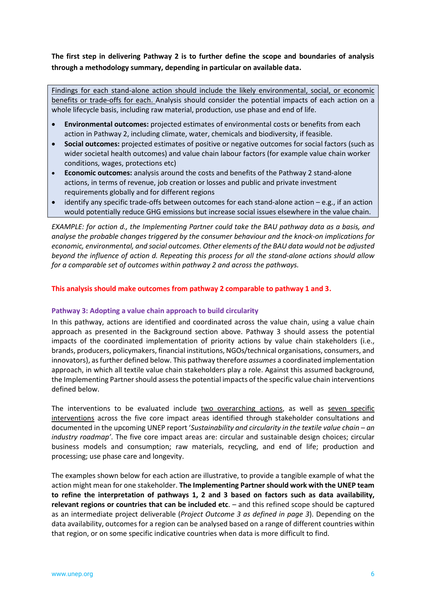**The first step in delivering Pathway 2 is to further define the scope and boundaries of analysis through a methodology summary, depending in particular on available data.**

Findings for each stand-alone action should include the likely environmental, social, or economic benefits or trade-offs for each. Analysis should consider the potential impacts of each action on a whole lifecycle basis, including raw material, production, use phase and end of life.

- **Environmental outcomes:** projected estimates of environmental costs or benefits from each action in Pathway 2, including climate, water, chemicals and biodiversity, if feasible.
- **Social outcomes:** projected estimates of positive or negative outcomes for social factors (such as wider societal health outcomes) and value chain labour factors (for example value chain worker conditions, wages, protections etc)
- **Economic outcomes:** analysis around the costs and benefits of the Pathway 2 stand-alone actions, in terms of revenue, job creation or losses and public and private investment requirements globally and for different regions
- identify any specific trade-offs between outcomes for each stand-alone action e.g., if an action would potentially reduce GHG emissions but increase social issues elsewhere in the value chain.

*EXAMPLE: for action d., the Implementing Partner could take the BAU pathway data as a basis, and analyse the probable changes triggered by the consumer behaviour and the knock-on implications for economic, environmental, and social outcomes. Other elements of the BAU data would not be adjusted beyond the influence of action d. Repeating this process for all the stand-alone actions should allow for a comparable set of outcomes within pathway 2 and across the pathways.* 

# **This analysis should make outcomes from pathway 2 comparable to pathway 1 and 3.**

#### **Pathway 3: Adopting a value chain approach to build circularity**

In this pathway, actions are identified and coordinated across the value chain, using a value chain approach as presented in the Background section above. Pathway 3 should assess the potential impacts of the coordinated implementation of priority actions by value chain stakeholders (i.e., brands, producers, policymakers, financial institutions, NGOs/technical organisations, consumers, and innovators), as further defined below. This pathway therefore *assumes* a coordinated implementation approach, in which all textile value chain stakeholders play a role. Against this assumed background, the Implementing Partner should assess the potential impacts of the specific value chain interventions defined below.

The interventions to be evaluated include two overarching actions, as well as seven specific interventions across the five core impact areas identified through stakeholder consultations and documented in the upcoming UNEP report '*Sustainability and circularity in the textile value chain – an industry roadmap'*. The five core impact areas are: circular and sustainable design choices; circular business models and consumption; raw materials, recycling, and end of life; production and processing; use phase care and longevity.

The examples shown below for each action are illustrative, to provide a tangible example of what the action might mean for one stakeholder. **The Implementing Partner should work with the UNEP team to refine the interpretation of pathways 1, 2 and 3 based on factors such as data availability, relevant regions or countries that can be included etc**. – and this refined scope should be captured as an intermediate project deliverable (*Project Outcome 3 as defined in page 3*). Depending on the data availability, outcomes for a region can be analysed based on a range of different countries within that region, or on some specific indicative countries when data is more difficult to find.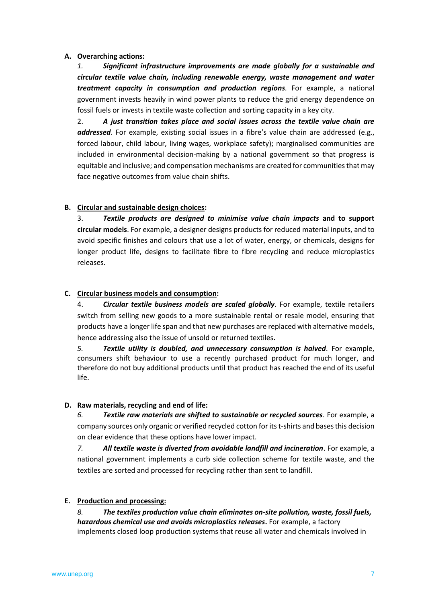# **A. Overarching actions:**

*1. Significant infrastructure improvements are made globally for a sustainable and circular textile value chain, including renewable energy, waste management and water treatment capacity in consumption and production regions.* For example, a national government invests heavily in wind power plants to reduce the grid energy dependence on fossil fuels or invests in textile waste collection and sorting capacity in a key city.

2. *A just transition takes place and social issues across the textile value chain are addressed*. For example, existing social issues in a fibre's value chain are addressed (e.g., forced labour, child labour, living wages, workplace safety); marginalised communities are included in environmental decision-making by a national government so that progress is equitable and inclusive; and compensation mechanisms are created for communities that may face negative outcomes from value chain shifts.

# **B. Circular and sustainable design choices:**

3. *Textile products are designed to minimise value chain impacts* **and to support circular models**. For example, a designer designs products for reduced material inputs, and to avoid specific finishes and colours that use a lot of water, energy, or chemicals, designs for longer product life, designs to facilitate fibre to fibre recycling and reduce microplastics releases.

# **C. Circular business models and consumption:**

4. *Circular textile business models are scaled globally*. For example, textile retailers switch from selling new goods to a more sustainable rental or resale model, ensuring that products have a longer life span and that new purchases are replaced with alternative models, hence addressing also the issue of unsold or returned textiles.

*5. Textile utility is doubled, and unnecessary consumption is halved.* For example, consumers shift behaviour to use a recently purchased product for much longer, and therefore do not buy additional products until that product has reached the end of its useful life.

# **D. Raw materials, recycling and end of life:**

*6. Textile raw materials are shifted to sustainable or recycled sources.* For example, a company sources only organic or verified recycled cotton for its t-shirts and bases this decision on clear evidence that these options have lower impact.

*7. All textile waste is diverted from avoidable landfill and incineration*. For example, a national government implements a curb side collection scheme for textile waste, and the textiles are sorted and processed for recycling rather than sent to landfill.

# **E. Production and processing:**

*8. The textiles production value chain eliminates on-site pollution, waste, fossil fuels, hazardous chemical use and avoids microplastics releases***.** For example, a factory implements closed loop production systems that reuse all water and chemicals involved in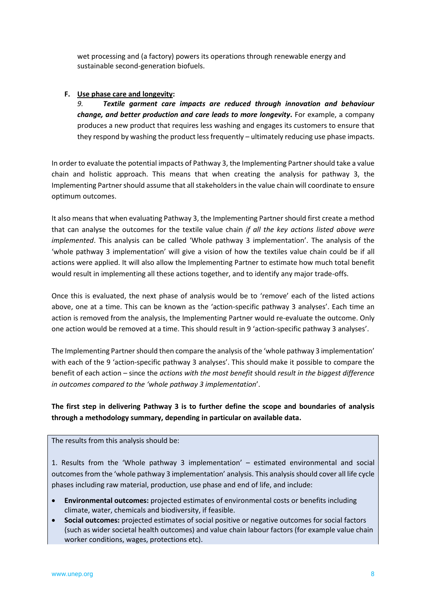wet processing and (a factory) powers its operations through renewable energy and sustainable second-generation biofuels.

# **F. Use phase care and longevity:**

*9. Textile garment care impacts are reduced through innovation and behaviour change, and better production and care leads to more longevity***.** For example, a company produces a new product that requires less washing and engages its customers to ensure that they respond by washing the product less frequently – ultimately reducing use phase impacts.

In order to evaluate the potential impacts of Pathway 3, the Implementing Partner should take a value chain and holistic approach. This means that when creating the analysis for pathway 3, the Implementing Partner should assume that all stakeholders in the value chain will coordinate to ensure optimum outcomes.

It also means that when evaluating Pathway 3, the Implementing Partner should first create a method that can analyse the outcomes for the textile value chain *if all the key actions listed above were implemented*. This analysis can be called 'Whole pathway 3 implementation'. The analysis of the 'whole pathway 3 implementation' will give a vision of how the textiles value chain could be if all actions were applied. It will also allow the Implementing Partner to estimate how much total benefit would result in implementing all these actions together, and to identify any major trade-offs.

Once this is evaluated, the next phase of analysis would be to 'remove' each of the listed actions above, one at a time. This can be known as the 'action-specific pathway 3 analyses'. Each time an action is removed from the analysis, the Implementing Partner would re-evaluate the outcome. Only one action would be removed at a time. This should result in 9 'action-specific pathway 3 analyses'.

The Implementing Partner should then compare the analysis of the 'whole pathway 3 implementation' with each of the 9 'action-specific pathway 3 analyses'. This should make it possible to compare the benefit of each action – since the *actions with the most benefit* should *result in the biggest difference in outcomes compared to the 'whole pathway 3 implementation*'.

# **The first step in delivering Pathway 3 is to further define the scope and boundaries of analysis through a methodology summary, depending in particular on available data.**

The results from this analysis should be:

1. Results from the 'Whole pathway 3 implementation' – estimated environmental and social outcomes from the 'whole pathway 3 implementation' analysis. This analysis should cover all life cycle phases including raw material, production, use phase and end of life, and include:

- **Environmental outcomes:** projected estimates of environmental costs or benefits including climate, water, chemicals and biodiversity, if feasible.
- **Social outcomes:** projected estimates of social positive or negative outcomes for social factors (such as wider societal health outcomes) and value chain labour factors (for example value chain worker conditions, wages, protections etc).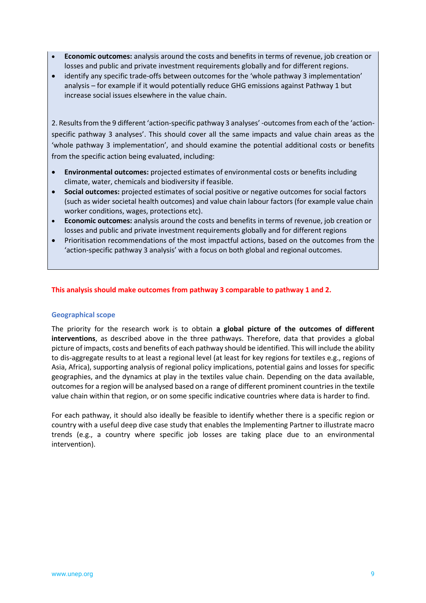- **Economic outcomes:** analysis around the costs and benefits in terms of revenue, job creation or losses and public and private investment requirements globally and for different regions.
- identify any specific trade-offs between outcomes for the 'whole pathway 3 implementation' analysis – for example if it would potentially reduce GHG emissions against Pathway 1 but increase social issues elsewhere in the value chain.

2. Results from the 9 different 'action-specific pathway 3 analyses' -outcomes from each of the 'actionspecific pathway 3 analyses'. This should cover all the same impacts and value chain areas as the 'whole pathway 3 implementation', and should examine the potential additional costs or benefits from the specific action being evaluated, including:

- **Environmental outcomes:** projected estimates of environmental costs or benefits including climate, water, chemicals and biodiversity if feasible.
- **Social outcomes:** projected estimates of social positive or negative outcomes for social factors (such as wider societal health outcomes) and value chain labour factors (for example value chain worker conditions, wages, protections etc).
- **Economic outcomes:** analysis around the costs and benefits in terms of revenue, job creation or losses and public and private investment requirements globally and for different regions
- Prioritisation recommendations of the most impactful actions, based on the outcomes from the 'action-specific pathway 3 analysis' with a focus on both global and regional outcomes.

# **This analysis should make outcomes from pathway 3 comparable to pathway 1 and 2.**

# **Geographical scope**

The priority for the research work is to obtain **a global picture of the outcomes of different interventions**, as described above in the three pathways. Therefore, data that provides a global picture of impacts, costs and benefits of each pathway should be identified. This will include the ability to dis-aggregate results to at least a regional level (at least for key regions for textiles e.g., regions of Asia, Africa), supporting analysis of regional policy implications, potential gains and losses for specific geographies, and the dynamics at play in the textiles value chain. Depending on the data available, outcomes for a region will be analysed based on a range of different prominent countries in the textile value chain within that region, or on some specific indicative countries where data is harder to find.

For each pathway, it should also ideally be feasible to identify whether there is a specific region or country with a useful deep dive case study that enables the Implementing Partner to illustrate macro trends (e.g., a country where specific job losses are taking place due to an environmental intervention).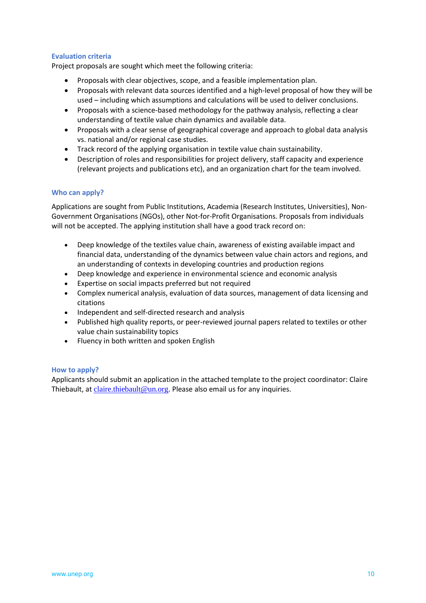# **Evaluation criteria**

Project proposals are sought which meet the following criteria:

- Proposals with clear objectives, scope, and a feasible implementation plan.
- Proposals with relevant data sources identified and a high-level proposal of how they will be used – including which assumptions and calculations will be used to deliver conclusions.
- Proposals with a science-based methodology for the pathway analysis, reflecting a clear understanding of textile value chain dynamics and available data.
- Proposals with a clear sense of geographical coverage and approach to global data analysis vs. national and/or regional case studies.
- Track record of the applying organisation in textile value chain sustainability.
- Description of roles and responsibilities for project delivery, staff capacity and experience (relevant projects and publications etc), and an organization chart for the team involved.

# **Who can apply?**

Applications are sought from Public Institutions, Academia (Research Institutes, Universities), Non-Government Organisations (NGOs), other Not-for-Profit Organisations. Proposals from individuals will not be accepted. The applying institution shall have a good track record on:

- Deep knowledge of the textiles value chain, awareness of existing available impact and financial data, understanding of the dynamics between value chain actors and regions, and an understanding of contexts in developing countries and production regions
- Deep knowledge and experience in environmental science and economic analysis
- Expertise on social impacts preferred but not required
- Complex numerical analysis, evaluation of data sources, management of data licensing and citations
- Independent and self-directed research and analysis
- Published high quality reports, or peer-reviewed journal papers related to textiles or other value chain sustainability topics
- Fluency in both written and spoken English

# **How to apply?**

Applicants should submit an application in the attached template to the project coordinator: Claire Thiebault, at  $\frac{claire.thiebault@un.org.}$  $\frac{claire.thiebault@un.org.}$  $\frac{claire.thiebault@un.org.}$  Please also email us for any inquiries.